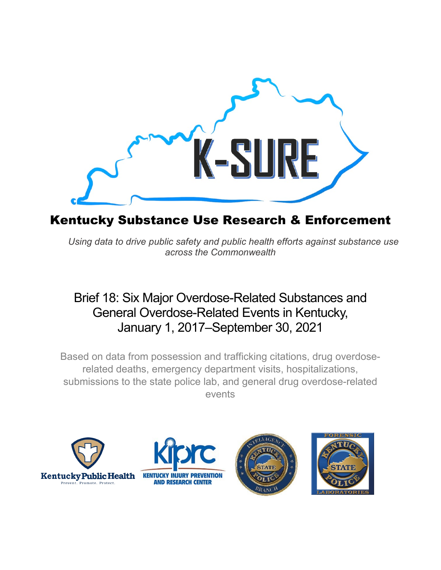

# Kentucky Substance Use Research & Enforcement

*Using data to drive public safety and public health efforts against substance use across the Commonwealth*

# Brief 18: Six Major Overdose-Related Substances and General Overdose-Related Events in Kentucky, January 1, 2017–September 30, 2021

Based on data from possession and trafficking citations, drug overdoserelated deaths, emergency department visits, hospitalizations, submissions to the state police lab, and general drug overdose-related events







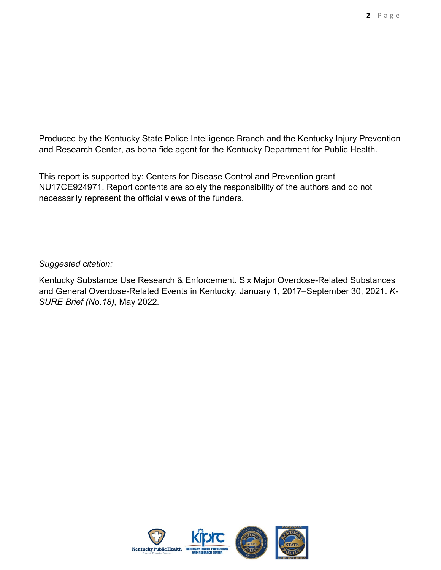Produced by the Kentucky State Police Intelligence Branch and the Kentucky Injury Prevention and Research Center, as bona fide agent for the Kentucky Department for Public Health.

This report is supported by: Centers for Disease Control and Prevention grant NU17CE924971. Report contents are solely the responsibility of the authors and do not necessarily represent the official views of the funders.

#### *Suggested citation:*

Kentucky Substance Use Research & Enforcement. Six Major Overdose-Related Substances and General Overdose-Related Events in Kentucky, January 1, 2017–September 30, 2021. *K-SURE Brief (No.18),* May 2022*.*

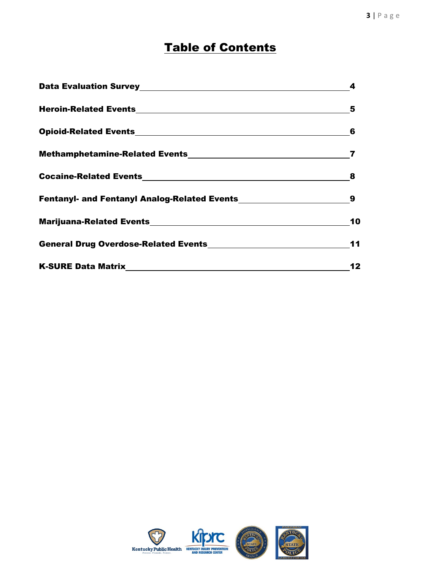# **Table of Contents**

|                                                                  | 4   |
|------------------------------------------------------------------|-----|
|                                                                  | 5   |
|                                                                  | 6   |
| Methamphetamine-Related Events<br>Methamphetamine-Related Events | 7   |
|                                                                  | 8   |
|                                                                  | - 9 |
|                                                                  | 10  |
|                                                                  | 11  |
|                                                                  | 12  |

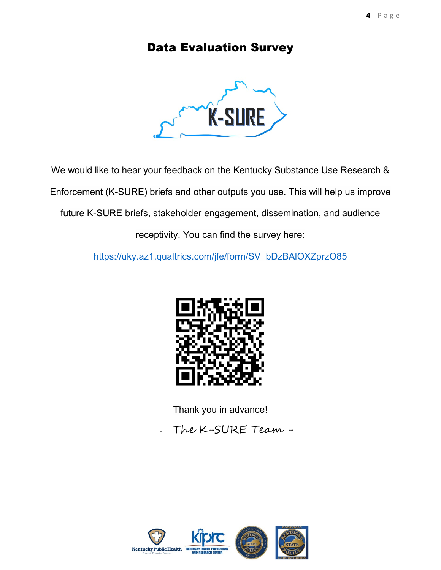## <span id="page-3-0"></span>Data Evaluation Survey



We would like to hear your feedback on the Kentucky Substance Use Research &

Enforcement (K-SURE) briefs and other outputs you use. This will help us improve

future K-SURE briefs, stakeholder engagement, dissemination, and audience

receptivity. You can find the survey here:

[https://uky.az1.qualtrics.com/jfe/form/SV\\_bDzBAlOXZprzO85](https://uky.az1.qualtrics.com/jfe/form/SV_bDzBAlOXZprzO85) 



Thank you in advance!

- The K-SURE Team -

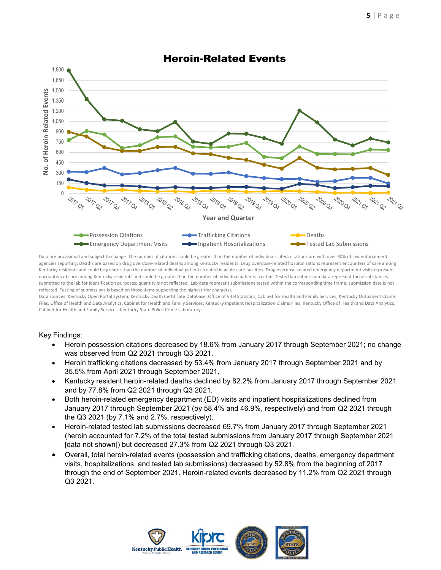<span id="page-4-0"></span>

## Heroin-Related Events

Data are provisional and subject to change. The number of citations could be greater than the number of individuals cited; citations are with over 90% of law enforcement agencies reporting. Deaths are based on drug overdose-related deaths among Kentucky residents. Drug overdose-related hospitalizations represent encounters of care among Kentucky residents and could be greater than the number of individual patients treated in acute care facilities. Drug overdose-related emergency department visits represent encounters of care among Kentucky residents and could be greater than the number of individual patients treated. Tested lab submission data represent those substances submitted to the lab for identification purposes; quantity is not reflected. Lab data represent submissions tested within the corresponding time frame; submission date is not reflected. Testing of submissions is based on those items supporting the highest-tier charge(s).

Data sources: Kentucky Open Portal System; Kentucky Death Certificate Database, Office of Vital Statistics, Cabinet for Health and Family Services; Kentucky Outpatient Claims Files, Office of Health and Data Analytics, Cabinet for Health and Family Services; Kentucky Inpatient Hospitalization Claims Files, Kentucky Office of Health and Data Analytics, Cabinet for Health and Family Services; Kentucky State Police Crime Laboratory.

- Heroin possession citations decreased by 18.6% from January 2017 through September 2021; no change was observed from Q2 2021 through Q3 2021.
- Heroin trafficking citations decreased by 53.4% from January 2017 through September 2021 and by 35.5% from April 2021 through September 2021.
- Kentucky resident heroin-related deaths declined by 82.2% from January 2017 through September 2021 and by 77.8% from Q2 2021 through Q3 2021.
- Both heroin-related emergency department (ED) visits and inpatient hospitalizations declined from January 2017 through September 2021 (by 58.4% and 46.9%, respectively) and from Q2 2021 through the Q3 2021 (by 7.1% and 2.7%, respectively).
- Heroin-related tested lab submissions decreased 69.7% from January 2017 through September 2021 (heroin accounted for 7.2% of the total tested submissions from January 2017 through September 2021 [data not shown]) but decreased 27.3% from Q2 2021 through Q3 2021.
- Overall, total heroin-related events (possession and trafficking citations, deaths, emergency department visits, hospitalizations, and tested lab submissions) decreased by 52.8% from the beginning of 2017 through the end of September 2021. Heroin-related events decreased by 11.2% from Q2 2021 through Q3 2021.

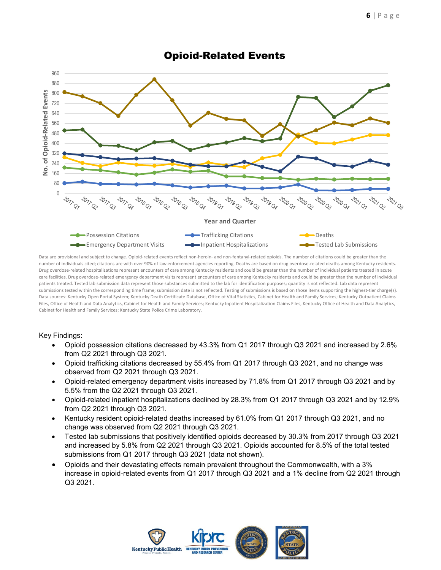<span id="page-5-0"></span>

## Opioid-Related Events

Data are provisional and subject to change. Opioid-related events reflect non-heroin- and non-fentanyl-related opioids. The number of citations could be greater than the number of individuals cited; citations are with over 90% of law enforcement agencies reporting. Deaths are based on drug overdose-related deaths among Kentucky residents. Drug overdose-related hospitalizations represent encounters of care among Kentucky residents and could be greater than the number of individual patients treated in acute care facilities. Drug overdose-related emergency department visits represent encounters of care among Kentucky residents and could be greater than the number of individual patients treated. Tested lab submission data represent those substances submitted to the lab for identification purposes; quantity is not reflected. Lab data represent submissions tested within the corresponding time frame; submission date is not reflected. Testing of submissions is based on those items supporting the highest-tier charge(s). Data sources: Kentucky Open Portal System; Kentucky Death Certificate Database, Office of Vital Statistics, Cabinet for Health and Family Services; Kentucky Outpatient Claims Files, Office of Health and Data Analytics, Cabinet for Health and Family Services; Kentucky Inpatient Hospitalization Claims Files, Kentucky Office of Health and Data Analytics, Cabinet for Health and Family Services; Kentucky State Police Crime Laboratory.

- Opioid possession citations decreased by 43.3% from Q1 2017 through Q3 2021 and increased by 2.6% from Q2 2021 through Q3 2021.
- Opioid trafficking citations decreased by 55.4% from Q1 2017 through Q3 2021, and no change was observed from Q2 2021 through Q3 2021.
- Opioid-related emergency department visits increased by 71.8% from Q1 2017 through Q3 2021 and by 5.5% from the Q2 2021 through Q3 2021.
- Opioid-related inpatient hospitalizations declined by 28.3% from Q1 2017 through Q3 2021 and by 12.9% from Q2 2021 through Q3 2021.
- Kentucky resident opioid-related deaths increased by 61.0% from Q1 2017 through Q3 2021, and no change was observed from Q2 2021 through Q3 2021.
- Tested lab submissions that positively identified opioids decreased by 30.3% from 2017 through Q3 2021 and increased by 5.8% from Q2 2021 through Q3 2021. Opioids accounted for 8.5% of the total tested submissions from Q1 2017 through Q3 2021 (data not shown).
- Opioids and their devastating effects remain prevalent throughout the Commonwealth, with a 3% increase in opioid-related events from Q1 2017 through Q3 2021 and a 1% decline from Q2 2021 through Q3 2021.

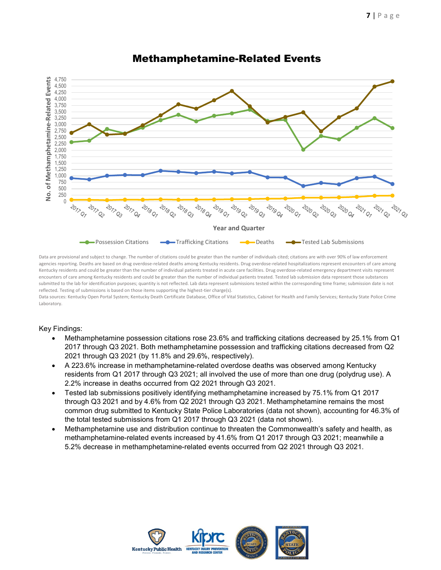<span id="page-6-0"></span>

### Methamphetamine-Related Events

Data are provisional and subject to change. The number of citations could be greater than the number of individuals cited; citations are with over 90% of law enforcement agencies reporting. Deaths are based on drug overdose-related deaths among Kentucky residents. Drug overdose-related hospitalizations represent encounters of care among Kentucky residents and could be greater than the number of individual patients treated in acute care facilities. Drug overdose-related emergency department visits represent encounters of care among Kentucky residents and could be greater than the number of individual patients treated. Tested lab submission data represent those substances submitted to the lab for identification purposes; quantity is not reflected. Lab data represent submissions tested within the corresponding time frame; submission date is not reflected. Testing of submissions is based on those items supporting the highest-tier charge(s).

Data sources: Kentucky Open Portal System; Kentucky Death Certificate Database, Office of Vital Statistics, Cabinet for Health and Family Services; Kentucky State Police Crime Laboratory.

- Methamphetamine possession citations rose 23.6% and trafficking citations decreased by 25.1% from Q1 2017 through Q3 2021. Both methamphetamine possession and trafficking citations decreased from Q2 2021 through Q3 2021 (by 11.8% and 29.6%, respectively).
- A 223.6% increase in methamphetamine-related overdose deaths was observed among Kentucky residents from Q1 2017 through Q3 2021; all involved the use of more than one drug (polydrug use). A 2.2% increase in deaths occurred from Q2 2021 through Q3 2021.
- Tested lab submissions positively identifying methamphetamine increased by 75.1% from Q1 2017 through Q3 2021 and by 4.6% from Q2 2021 through Q3 2021. Methamphetamine remains the most common drug submitted to Kentucky State Police Laboratories (data not shown), accounting for 46.3% of the total tested submissions from Q1 2017 through Q3 2021 (data not shown).
- Methamphetamine use and distribution continue to threaten the Commonwealth's safety and health, as methamphetamine-related events increased by 41.6% from Q1 2017 through Q3 2021; meanwhile a 5.2% decrease in methamphetamine-related events occurred from Q2 2021 through Q3 2021.

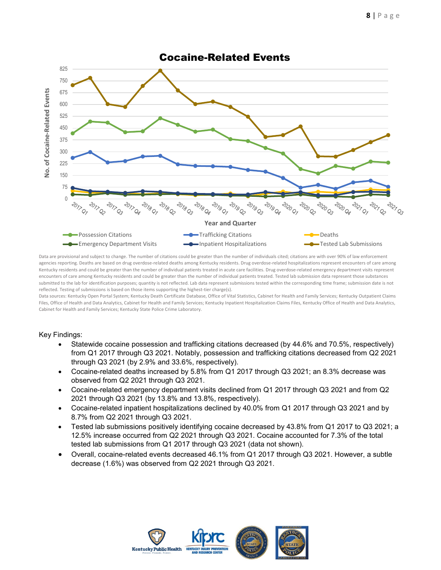<span id="page-7-0"></span>

Data are provisional and subject to change. The number of citations could be greater than the number of individuals cited; citations are with over 90% of law enforcement agencies reporting. Deaths are based on drug overdose-related deaths among Kentucky residents. Drug overdose-related hospitalizations represent encounters of care among Kentucky residents and could be greater than the number of individual patients treated in acute care facilities. Drug overdose-related emergency department visits represent encounters of care among Kentucky residents and could be greater than the number of individual patients treated. Tested lab submission data represent those substances submitted to the lab for identification purposes; quantity is not reflected. Lab data represent submissions tested within the corresponding time frame; submission date is not reflected. Testing of submissions is based on those items supporting the highest-tier charge(s).

Data sources: Kentucky Open Portal System; Kentucky Death Certificate Database, Office of Vital Statistics, Cabinet for Health and Family Services; Kentucky Outpatient Claims Files, Office of Health and Data Analytics, Cabinet for Health and Family Services; Kentucky Inpatient Hospitalization Claims Files, Kentucky Office of Health and Data Analytics, Cabinet for Health and Family Services; Kentucky State Police Crime Laboratory.

- Statewide cocaine possession and trafficking citations decreased (by 44.6% and 70.5%, respectively) from Q1 2017 through Q3 2021. Notably, possession and trafficking citations decreased from Q2 2021 through Q3 2021 (by 2.9% and 33.6%, respectively).
- Cocaine-related deaths increased by 5.8% from Q1 2017 through Q3 2021; an 8.3% decrease was observed from Q2 2021 through Q3 2021.
- Cocaine-related emergency department visits declined from Q1 2017 through Q3 2021 and from Q2 2021 through Q3 2021 (by 13.8% and 13.8%, respectively).
- Cocaine-related inpatient hospitalizations declined by 40.0% from Q1 2017 through Q3 2021 and by 8.7% from Q2 2021 through Q3 2021.
- Tested lab submissions positively identifying cocaine decreased by 43.8% from Q1 2017 to Q3 2021; a 12.5% increase occurred from Q2 2021 through Q3 2021. Cocaine accounted for 7.3% of the total tested lab submissions from Q1 2017 through Q3 2021 (data not shown).
- Overall, cocaine-related events decreased 46.1% from Q1 2017 through Q3 2021. However, a subtle decrease (1.6%) was observed from Q2 2021 through Q3 2021.

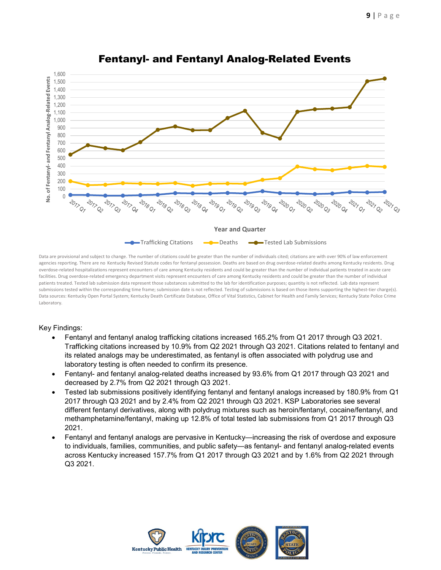

### Fentanyl- and Fentanyl Analog-Related Events

Data are provisional and subject to change. The number of citations could be greater than the number of individuals cited; citations are with over 90% of law enforcement agencies reporting. There are no Kentucky Revised Statute codes for fentanyl possession. Deaths are based on drug overdose-related deaths among Kentucky residents. Drug overdose-related hospitalizations represent encounters of care among Kentucky residents and could be greater than the number of individual patients treated in acute care facilities. Drug overdose-related emergency department visits represent encounters of care among Kentucky residents and could be greater than the number of individual patients treated. Tested lab submission data represent those substances submitted to the lab for identification purposes; quantity is not reflected. Lab data represent submissions tested within the corresponding time frame; submission date is not reflected. Testing of submissions is based on those items supporting the highest-tier charge(s). Data sources: Kentucky Open Portal System; Kentucky Death Certificate Database, Office of Vital Statistics, Cabinet for Health and Family Services; Kentucky State Police Crime Laboratory.

- Fentanyl and fentanyl analog trafficking citations increased 165.2% from Q1 2017 through Q3 2021. Trafficking citations increased by 10.9% from Q2 2021 through Q3 2021. Citations related to fentanyl and its related analogs may be underestimated, as fentanyl is often associated with polydrug use and laboratory testing is often needed to confirm its presence.
- Fentanyl- and fentanyl analog-related deaths increased by 93.6% from Q1 2017 through Q3 2021 and decreased by 2.7% from Q2 2021 through Q3 2021.
- Tested lab submissions positively identifying fentanyl and fentanyl analogs increased by 180.9% from Q1 2017 through Q3 2021 and by 2.4% from Q2 2021 through Q3 2021. KSP Laboratories see several different fentanyl derivatives, along with polydrug mixtures such as heroin/fentanyl, cocaine/fentanyl, and methamphetamine/fentanyl, making up 12.8% of total tested lab submissions from Q1 2017 through Q3 2021.
- Fentanyl and fentanyl analogs are pervasive in Kentucky—increasing the risk of overdose and exposure to individuals, families, communities, and public safety—as fentanyl- and fentanyl analog-related events across Kentucky increased 157.7% from Q1 2017 through Q3 2021 and by 1.6% from Q2 2021 through Q3 2021.

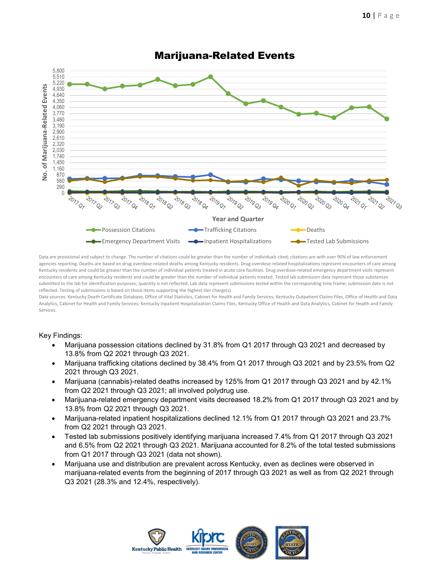

## Marijuana-Related Events

Data are provisional and subject to change. The number of citations could be greater than the number of individuals cited; citations are with over 90% of law enforcement agencies reporting. Deaths are based on drug overdose-related deaths among Kentucky residents. Drug overdose-related hospitalizations represent encounters of care among Kentucky residents and could be greater than the number of individual patients treated in acute care facilities. Drug overdose-related emergency department visits represent encounters of care among Kentucky residents and could be greater than the number of individual patients treated. Tested lab submission data represent those substances submitted to the lab for identification purposes; quantity is not reflected. Lab data represent submissions tested within the corresponding time frame; submission date is not reflected. Testing of submissions is based on those items supporting the highest-tier charge(s).

Data sources: Kentucky Death Certificate Database, Office of Vital Statistics, Cabinet for Health and Family Services; Kentucky Outpatient Claims Files, Office of Health and Data Analytics, Cabinet for Health and Family Services; Kentucky Inpatient Hospitalization Claims Files, Kentucky Office of Health and Data Analytics, Cabinet for Health and Family Services.

- Marijuana possession citations declined by 31.8% from Q1 2017 through Q3 2021 and decreased by 13.8% from Q2 2021 through Q3 2021.
- Marijuana trafficking citations declined by 38.4% from Q1 2017 through Q3 2021 and by 23.5% from Q2 2021 through Q3 2021.
- Marijuana (cannabis)-related deaths increased by 125% from Q1 2017 through Q3 2021 and by 42.1% from Q2 2021 through Q3 2021; all involved polydrug use.
- Marijuana-related emergency department visits decreased 18.2% from Q1 2017 through Q3 2021 and by 13.8% from Q2 2021 through Q3 2021.
- Marijuana-related inpatient hospitalizations declined 12.1% from Q1 2017 through Q3 2021 and 23.7% from Q2 2021 through Q3 2021.
- Tested lab submissions positively identifying marijuana increased 7.4% from Q1 2017 through Q3 2021 and 6.5% from Q2 2021 through Q3 2021. Marijuana accounted for 8.2% of the total tested submissions from Q1 2017 through Q3 2021 (data not shown).
- Marijuana use and distribution are prevalent across Kentucky, even as declines were observed in marijuana-related events from the beginning of 2017 through Q3 2021 as well as from Q2 2021 through Q3 2021 (28.3% and 12.4%, respectively).

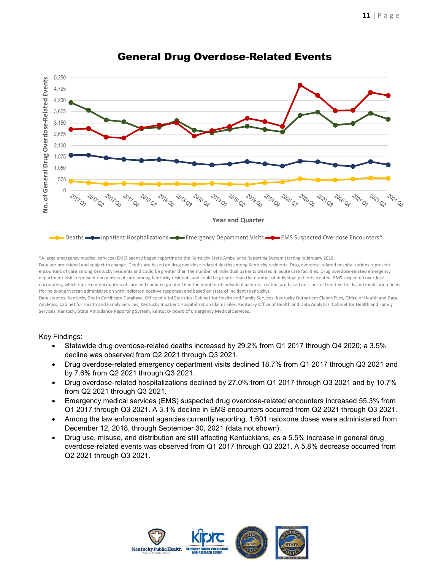

## General Drug Overdose-Related Events

\*A large emergency medical services (EMS) agency began reporting to the Kentucky State Ambulance Reporting System starting in January 2018. Data are provisional and subject to change. Deaths are based on drug overdose-related deaths among Kentucky residents. Drug overdose-related hospitalizations represent encounters of care among Kentucky residents and could be greater than the number of individual patients treated in acute care facilities. Drug overdose-related emergency department visits represent encounters of care among Kentucky residents and could be greater than the number of individual patients treated. EMS suspected overdose encounters, which represent encounters of care and could be greater than the number of individual patients treated, are based on scans of free-text fields and medication fields (for naloxone/Narcan administration with indicated positive response) and based on state of incident (Kentucky).

Data sources: Kentucky Death Certificate Database, Office of Vital Statistics, Cabinet for Health and Family Services; Kentucky Outpatient Claims Files, Office of Health and Data Analytics, Cabinet for Health and Family Services; Kentucky Inpatient Hospitalization Claims Files, Kentucky Office of Health and Data Analytics, Cabinet for Health and Family Services; Kentucky State Ambulance Reporting System, Kentucky Board of Emergency Medical Services.

- Statewide drug overdose-related deaths increased by 29.2% from Q1 2017 through Q4 2020; a 3.5% decline was observed from Q2 2021 through Q3 2021.
- Drug overdose-related emergency department visits declined 18.7% from Q1 2017 through Q3 2021 and by 7.6% from Q2 2021 through Q3 2021.
- Drug overdose-related hospitalizations declined by 27.0% from Q1 2017 through Q3 2021 and by 10.7% from Q2 2021 through Q3 2021.
- Emergency medical services (EMS) suspected drug overdose-related encounters increased 55.3% from Q1 2017 through Q3 2021. A 3.1% decline in EMS encounters occurred from Q2 2021 through Q3 2021.
- Among the law enforcement agencies currently reporting, 1,601 naloxone doses were administered from December 12, 2018, through September 30, 2021 (data not shown).
- Drug use, misuse, and distribution are still affecting Kentuckians, as a 5.5% increase in general drug overdose-related events was observed from Q1 2017 through Q3 2021. A 5.8% decrease occurred from Q2 2021 through Q3 2021.

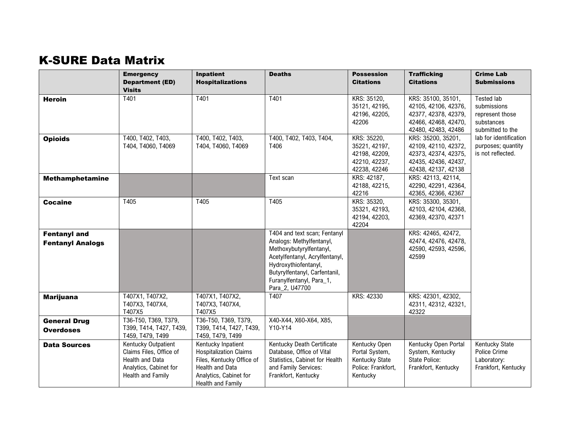## **K-SURE Data Matrix**

<span id="page-11-0"></span>

|                                                | <b>Emergency</b><br><b>Department (ED)</b><br><b>Visits</b>                                                             | <b>Inpatient</b><br><b>Hospitalizations</b>                                                                                                        | <b>Deaths</b>                                                                                                                                                                                                                | <b>Possession</b><br><b>Citations</b>                                               | <b>Trafficking</b><br><b>Citations</b>                                                                            | <b>Crime Lab</b><br><b>Submissions</b>                                         |
|------------------------------------------------|-------------------------------------------------------------------------------------------------------------------------|----------------------------------------------------------------------------------------------------------------------------------------------------|------------------------------------------------------------------------------------------------------------------------------------------------------------------------------------------------------------------------------|-------------------------------------------------------------------------------------|-------------------------------------------------------------------------------------------------------------------|--------------------------------------------------------------------------------|
| <b>Heroin</b>                                  | T401                                                                                                                    | T401                                                                                                                                               | T401                                                                                                                                                                                                                         | KRS: 35120,<br>35121, 42195,<br>42196, 42205,<br>42206                              | KRS: 35100, 35101,<br>42105, 42106, 42376,<br>42377, 42378, 42379,<br>42466, 42468, 42470,<br>42480, 42483, 42486 | Tested lab<br>submissions<br>represent those<br>substances<br>submitted to the |
| <b>Opioids</b>                                 | T400, T402, T403,<br>T404, T4060, T4069                                                                                 | T400, T402, T403,<br>T404, T4060, T4069                                                                                                            | T400, T402, T403, T404,<br>T406                                                                                                                                                                                              | KRS: 35220,<br>35221, 42197,<br>42198, 42209,<br>42210, 42237,<br>42238, 42246      | KRS: 35200, 35201,<br>42109, 42110, 42372,<br>42373, 42374, 42375,<br>42435, 42436, 42437,<br>42438, 42137, 42138 | lab for identification<br>purposes; quantity<br>is not reflected.              |
| <b>Methamphetamine</b>                         |                                                                                                                         |                                                                                                                                                    | Text scan                                                                                                                                                                                                                    | KRS: 42187.<br>42188, 42215,<br>42216                                               | KRS: 42113, 42114,<br>42290, 42291, 42364,<br>42365, 42366, 42367                                                 |                                                                                |
| <b>Cocaine</b>                                 | T405                                                                                                                    | T405                                                                                                                                               | T405                                                                                                                                                                                                                         | KRS: 35320,<br>35321, 42193,<br>42194, 42203,<br>42204                              | KRS: 35300, 35301,<br>42103, 42104, 42368,<br>42369, 42370, 42371                                                 |                                                                                |
| <b>Fentanyl and</b><br><b>Fentanyl Analogs</b> |                                                                                                                         |                                                                                                                                                    | T404 and text scan; Fentanyl<br>Analogs: Methylfentanyl,<br>Methoxybutyrylfentanyl,<br>Acetylfentanyl, Acrylfentanyl,<br>Hydroxythiofentanyl,<br>Butyrylfentanyl, Carfentanil,<br>Furanylfentanyl, Para_1,<br>Para_2, U47700 |                                                                                     | KRS: 42465, 42472,<br>42474, 42476, 42478,<br>42590, 42593, 42596,<br>42599                                       |                                                                                |
| <b>Marijuana</b>                               | T407X1, T407X2,<br>T407X3, T407X4,<br>T407X5                                                                            | T407X1, T407X2,<br>T407X3, T407X4,<br>T407X5                                                                                                       | T407                                                                                                                                                                                                                         | KRS: 42330                                                                          | KRS: 42301, 42302,<br>42311, 42312, 42321,<br>42322                                                               |                                                                                |
| <b>General Drug</b><br><b>Overdoses</b>        | T36-T50, T369, T379,<br>T399, T414, T427, T439,<br>T459, T479, T499                                                     | T36-T50, T369, T379,<br>T399, T414, T427, T439,<br>T459, T479, T499                                                                                | X40-X44, X60-X64, X85,<br>Y10-Y14                                                                                                                                                                                            |                                                                                     |                                                                                                                   |                                                                                |
| <b>Data Sources</b>                            | Kentucky Outpatient<br>Claims Files, Office of<br><b>Health and Data</b><br>Analytics, Cabinet for<br>Health and Family | Kentucky Inpatient<br><b>Hospitalization Claims</b><br>Files, Kentucky Office of<br>Health and Data<br>Analytics, Cabinet for<br>Health and Family | Kentucky Death Certificate<br>Database, Office of Vital<br>Statistics, Cabinet for Health<br>and Family Services:<br>Frankfort, Kentucky                                                                                     | Kentucky Open<br>Portal System,<br>Kentucky State<br>Police: Frankfort,<br>Kentucky | Kentucky Open Portal<br>System, Kentucky<br><b>State Police:</b><br>Frankfort, Kentucky                           | Kentucky State<br>Police Crime<br>Laboratory:<br>Frankfort, Kentucky           |